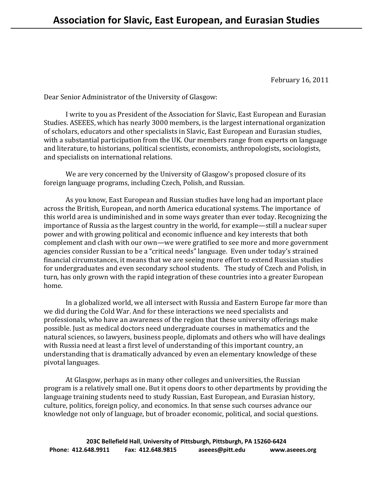February 16, 2011

Dear Senior Administrator of the University of Glasgow:

 I write to you as President of the Association for Slavic, East European and Eurasian Studies. ASEEES, which has nearly 3000 members, is the largest international organization of scholars, educators and other specialists in Slavic, East European and Eurasian studies, with a substantial participation from the UK. Our members range from experts on language and literature, to historians, political scientists, economists, anthropologists, sociologists, and specialists on international relations.

 We are very concerned by the University of Glasgow's proposed closure of its foreign language programs, including Czech, Polish, and Russian.

 As you know, East European and Russian studies have long had an important place across the British, European, and north America educational systems. The importance of this world area is undiminished and in some ways greater than ever today. Recognizing the importance of Russia as the largest country in the world, for example—still a nuclear super power and with growing political and economic influence and key interests that both complement and clash with our own—we were gratified to see more and more government agencies consider Russian to be a "critical needs" language. Even under today's strained financial circumstances, it means that we are seeing more effort to extend Russian studies for undergraduates and even secondary school students. The study of Czech and Polish, in turn, has only grown with the rapid integration of these countries into a greater European home.

In a globalized world, we all intersect with Russia and Eastern Europe far more than we did during the Cold War. And for these interactions we need specialists and professionals, who have an awareness of the region that these university offerings make possible. Just as medical doctors need undergraduate courses in mathematics and the natural sciences, so lawyers, business people, diplomats and others who will have dealings with Russia need at least a first level of understanding of this important country, an understanding that is dramatically advanced by even an elementary knowledge of these pivotal languages.

 At Glasgow, perhaps as in many other colleges and universities, the Russian program is a relatively small one. But it opens doors to other departments by providing the language training students need to study Russian, East European, and Eurasian history, culture, politics, foreign policy, and economics. In that sense such courses advance our knowledge not only of language, but of broader economic, political, and social questions.